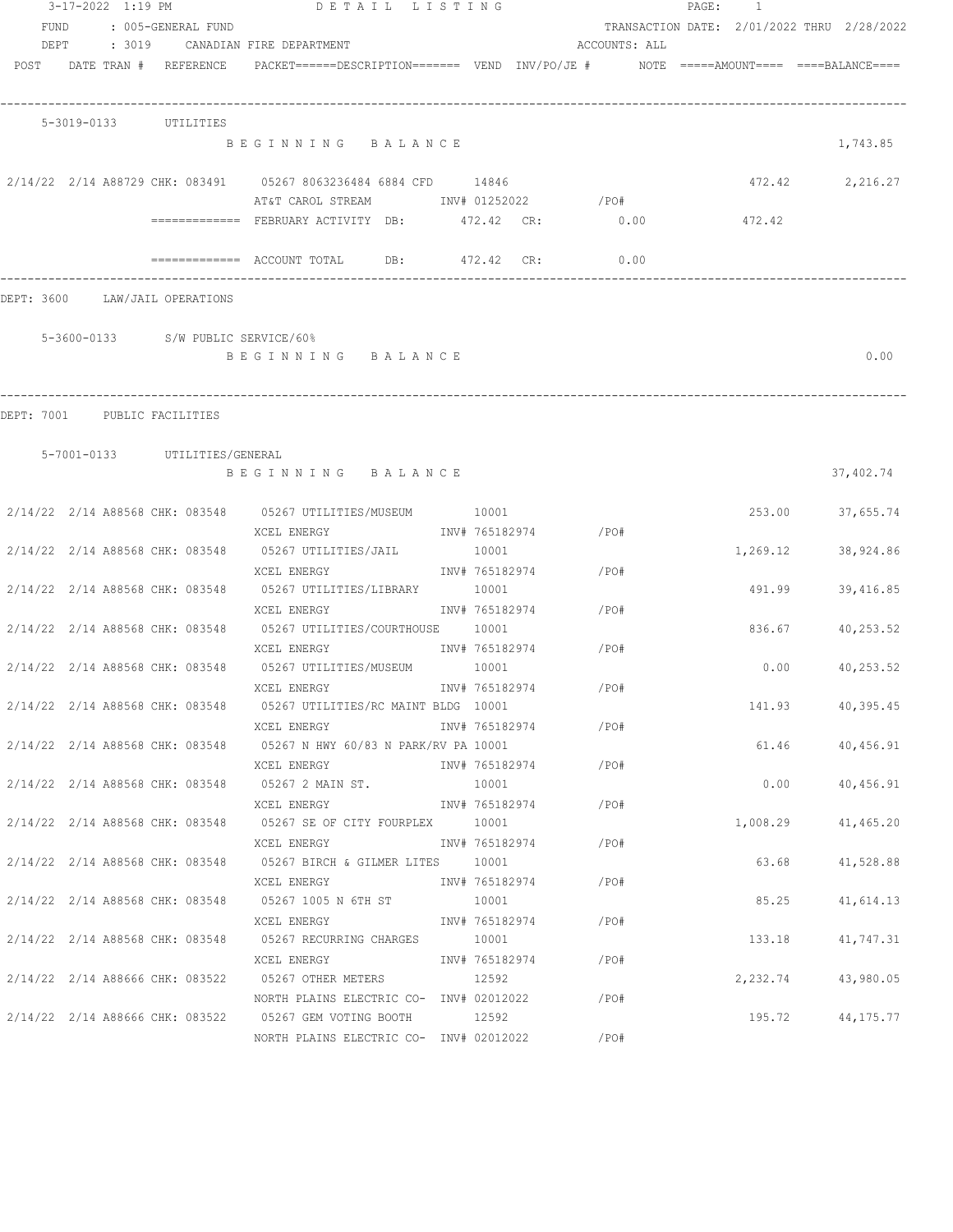|                                |  | 3-17-2022 1:19 PM             | DETAIL LISTING                                                                                            |                |                      |               | PAGE: 1 |          |                                            |
|--------------------------------|--|-------------------------------|-----------------------------------------------------------------------------------------------------------|----------------|----------------------|---------------|---------|----------|--------------------------------------------|
| FUND                           |  | : 005-GENERAL FUND            |                                                                                                           |                |                      |               |         |          | TRANSACTION DATE: 2/01/2022 THRU 2/28/2022 |
| DEPT                           |  |                               | : 3019 CANADIAN FIRE DEPARTMENT                                                                           |                |                      | ACCOUNTS: ALL |         |          |                                            |
|                                |  | POST DATE TRAN # REFERENCE    | PACKET======DESCRIPTION========  VEND  INV/PO/JE #         NOTE  =====AMOUNT====  ====BALANCE====         |                |                      |               |         |          |                                            |
|                                |  | 5-3019-0133 UTILITIES         |                                                                                                           |                |                      |               |         |          |                                            |
|                                |  |                               | BEGINNING BALANCE                                                                                         |                |                      |               |         |          | 1,743.85                                   |
|                                |  |                               | 2/14/22 2/14 A88729 CHK: 083491 05267 8063236484 6884 CFD 14846<br>AT&T CAROL STREAM MONTH 01252022 / PO# |                |                      |               |         | 472.42   | 2,216.27                                   |
|                                |  |                               |                                                                                                           |                |                      |               |         |          |                                            |
|                                |  |                               | ============= FEBRUARY ACTIVITY DB: 472.42 CR:                                                            |                |                      | 0.00          |         | 472.42   |                                            |
|                                |  |                               | $\overline{\phantom{z}}$ ============= ACCOUNT TOTAL DB: 472.42 CR:                                       |                |                      | 0.00          |         |          |                                            |
| DEPT: 3600 LAW/JAIL OPERATIONS |  |                               |                                                                                                           |                |                      |               |         |          |                                            |
|                                |  |                               | 5-3600-0133 S/W PUBLIC SERVICE/60%                                                                        |                |                      |               |         |          |                                            |
|                                |  |                               | BEGINNING BALANCE                                                                                         |                |                      |               |         |          | 0.00                                       |
|                                |  |                               |                                                                                                           |                |                      |               |         |          |                                            |
| DEPT: 7001 PUBLIC FACILITIES   |  |                               |                                                                                                           |                |                      |               |         |          |                                            |
|                                |  | 5-7001-0133 UTILITIES/GENERAL |                                                                                                           |                |                      |               |         |          |                                            |
|                                |  |                               | BEGINNING BALANCE                                                                                         |                |                      |               |         |          | 37,402.74                                  |
|                                |  |                               | 2/14/22 2/14 A88568 CHK: 083548 05267 UTILITIES/MUSEUM 10001                                              |                |                      |               |         |          | 253.00 37,655.74                           |
|                                |  |                               | XCEL ENERGY                                                                                               |                | INV# 765182974 / PO# |               |         |          |                                            |
|                                |  |                               | 2/14/22 2/14 A88568 CHK: 083548 05267 UTILITIES/JAIL 10001                                                |                |                      |               |         | 1,269.12 | 38,924.86                                  |
|                                |  |                               | XCEL ENERGY                                                                                               |                | INV# 765182974 /PO#  |               |         |          |                                            |
|                                |  |                               | 2/14/22 2/14 A88568 CHK: 083548 05267 UTILITIES/LIBRARY                                                   | 10001          |                      |               |         | 491.99   | 39,416.85                                  |
|                                |  |                               | XCEL ENERGY                                                                                               |                | INV# 765182974 / PO# |               |         |          |                                            |
|                                |  |                               | 2/14/22 2/14 A88568 CHK: 083548 05267 UTILITIES/COURTHOUSE 10001                                          |                |                      |               |         | 836.67   | 40,253.52                                  |
|                                |  |                               | XCEL ENERGY                                                                                               |                | INV# 765182974       | /PO#          |         |          |                                            |
|                                |  |                               | 2/14/22 2/14 A88568 CHK: 083548 05267 UTILITIES/MUSEUM 10001                                              |                |                      |               |         | 0.00     | 40,253.52                                  |
|                                |  |                               | XCEL ENERGY                                                                                               | INV# 765182974 |                      | /PO#          |         |          |                                            |
|                                |  |                               | 2/14/22 2/14 A88568 CHK: 083548 05267 UTILITIES/RC MAINT BLDG 10001                                       |                |                      |               |         |          | 141.93 40,395.45                           |
|                                |  |                               | XCEL ENERGY<br>2/14/22 2/14 A88568 CHK: 083548 05267 N HWY 60/83 N PARK/RV PA 10001                       |                | INV# 765182974       | /PO#          |         |          | 61.46 40,456.91                            |
|                                |  |                               | XCEL ENERGY                                                                                               |                | INV# 765182974       | /PO#          |         |          |                                            |
|                                |  |                               | 2/14/22 2/14 A88568 CHK: 083548 05267 2 MAIN ST. 10001                                                    |                |                      |               |         |          | $0.00$ $40,456.91$                         |
|                                |  |                               | XCEL ENERGY                                                                                               |                | INV# 765182974       | /PO#          |         |          |                                            |
|                                |  |                               | 2/14/22 2/14 A88568 CHK: 083548 05267 SE OF CITY FOURPLEX 10001                                           |                |                      |               |         |          | 1,008.29 41,465.20                         |
|                                |  |                               | XCEL ENERGY                                                                                               |                | INV# 765182974       | /PO#          |         |          |                                            |
|                                |  |                               | 2/14/22 2/14 A88568 CHK: 083548 05267 BIRCH & GILMER LITES 10001                                          |                |                      |               |         | 63.68    | 41,528.88                                  |
|                                |  |                               | XCEL ENERGY                                                                                               |                | INV# 765182974       | / PO#         |         |          |                                            |
|                                |  |                               | 2/14/22 2/14 A88568 CHK: 083548 05267 1005 N 6TH ST                                                       | 10001          |                      |               |         | 85.25    | 41,614.13                                  |
|                                |  |                               | XCEL ENERGY                                                                                               |                | INV# 765182974       | /PO#          |         |          |                                            |
|                                |  |                               | 2/14/22 2/14 A88568 CHK: 083548 05267 RECURRING CHARGES 10001                                             |                |                      |               |         |          | 133.18 41,747.31                           |
|                                |  |                               | XCEL ENERGY                                                                                               |                | INV# 765182974       | /PO#          |         |          |                                            |
|                                |  |                               | 2/14/22 2/14 A88666 CHK: 083522 05267 OTHER METERS 12592                                                  |                |                      |               |         |          | 2,232.74 43,980.05                         |
|                                |  |                               | NORTH PLAINS ELECTRIC CO- $INV#$ 02012022 / PO#                                                           |                |                      |               |         |          |                                            |
|                                |  |                               | 2/14/22 2/14 A88666 CHK: 083522 05267 GEM VOTING BOOTH 12592                                              |                |                      |               |         |          | 195.72 44,175.77                           |
|                                |  |                               | NORTH PLAINS ELECTRIC CO- INV# 02012022 / PO#                                                             |                |                      |               |         |          |                                            |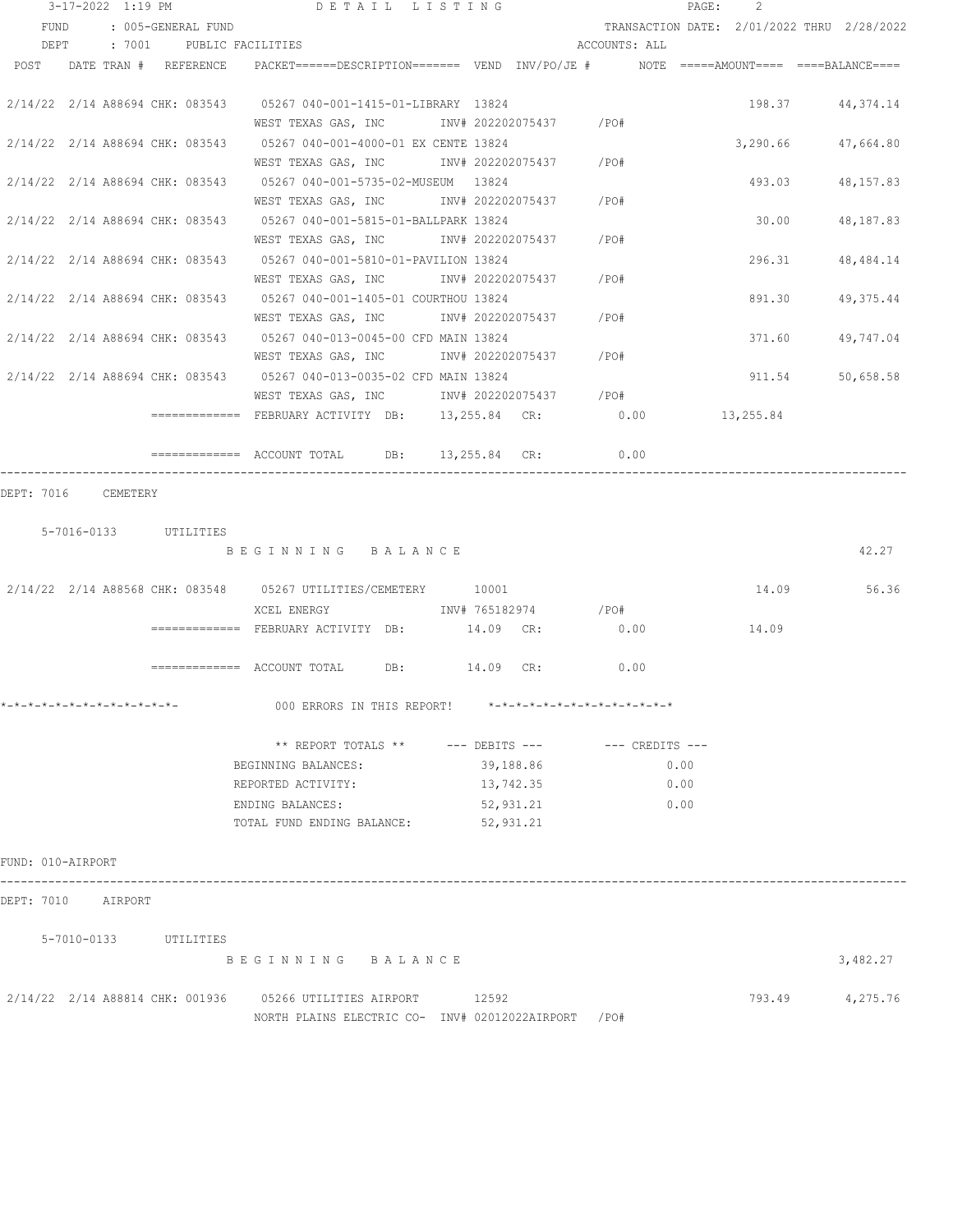|                              |  |                            | $3-17-2022$ 1:19 PM DETAIL LISTING                                                                                            |           |               |      |      | PAGE: | -2     |                                            |
|------------------------------|--|----------------------------|-------------------------------------------------------------------------------------------------------------------------------|-----------|---------------|------|------|-------|--------|--------------------------------------------|
| FUND                         |  | : 005-GENERAL FUND         |                                                                                                                               |           |               |      |      |       |        | TRANSACTION DATE: 2/01/2022 THRU 2/28/2022 |
|                              |  |                            | DEPT : 7001 PUBLIC FACILITIES                                                                                                 |           | ACCOUNTS: ALL |      |      |       |        |                                            |
|                              |  | POST DATE TRAN # REFERENCE | PACKET======DESCRIPTION======== VEND INV/PO/JE # NOTE =====AMOUNT==== ====BALANCE====                                         |           |               |      |      |       |        |                                            |
|                              |  |                            | 2/14/22 2/14 A88694 CHK: 083543 05267 040-001-1415-01-LIBRARY 13824                                                           |           |               |      |      |       |        | 198.37 44,374.14                           |
|                              |  |                            | WEST TEXAS GAS, INC        INV# 202202075437     /PO#<br>2/14/22 2/14 A88694 CHK: 083543 05267 040-001-4000-01 EX CENTE 13824 |           |               |      |      |       |        | 3,290.66 47,664.80                         |
|                              |  |                            | WEST TEXAS GAS, INC MOV# 202202075437 / PO#<br>2/14/22 2/14 A88694 CHK: 083543 05267 040-001-5735-02-MUSEUM 13824             |           |               |      |      |       |        | 493.03 48,157.83                           |
|                              |  |                            | WEST TEXAS GAS, INC MOV# 202202075437 /PO#                                                                                    |           |               |      |      |       |        |                                            |
|                              |  |                            | 2/14/22 2/14 A88694 CHK: 083543 05267 040-001-5815-01-BALLPARK 13824<br>WEST TEXAS GAS, INC MONTH 202202075437 / PO#          |           |               |      |      |       | 30.00  | 48,187.83                                  |
|                              |  |                            | 2/14/22 2/14 A88694 CHK: 083543 05267 040-001-5810-01-PAVILION 13824                                                          |           |               |      |      |       | 296.31 | 48, 484. 14                                |
|                              |  |                            | WEST TEXAS GAS, INC MOV# 202202075437 / PO#<br>2/14/22 2/14 A88694 CHK: 083543 05267 040-001-1405-01 COURTHOU 13824           |           |               |      |      |       | 891.30 | 49,375.44                                  |
|                              |  |                            | WEST TEXAS GAS, INC MONTH 202202075437 / PO#                                                                                  |           |               |      |      |       |        |                                            |
|                              |  |                            | 2/14/22 2/14 A88694 CHK: 083543 05267 040-013-0045-00 CFD MAIN 13824<br>WEST TEXAS GAS, INC MONTH 202202075437 / PO#          |           |               |      |      |       | 371.60 | 49,747.04                                  |
|                              |  |                            | 2/14/22 2/14 A88694 CHK: 083543 05267 040-013-0035-02 CFD MAIN 13824<br>WEST TEXAS GAS, INC MOV# 202202075437 / PO#           |           |               |      |      |       | 911.54 | 50,658.58                                  |
|                              |  |                            | ============= FEBRUARY ACTIVITY DB: 13,255.84 CR: 0.00 13,255.84                                                              |           |               |      |      |       |        |                                            |
|                              |  |                            | ============ ACCOUNT TOTAL DB: 13,255.84 CR: 0.00                                                                             |           |               |      |      |       |        |                                            |
|                              |  | 5-7016-0133 UTILITIES      | BEGINNING BALANCE                                                                                                             |           |               |      |      |       |        | 42.27                                      |
|                              |  |                            |                                                                                                                               |           |               |      |      |       |        | 14.09 56.36                                |
|                              |  |                            |                                                                                                                               |           |               |      |      |       |        |                                            |
|                              |  |                            | $\overline{\phantom{X}}$ ============= FEBRUARY ACTIVITY DB: $14.09$ CR:                                                      |           |               | 0.00 |      |       | 14.09  |                                            |
|                              |  |                            | ============ ACCOUNT TOTAL DB: 14.09 CR: 0.00                                                                                 |           |               |      |      |       |        |                                            |
| *-*-*-*-*-*-*-*-*-*-*-*-*-*- |  |                            | 000 ERRORS IN THIS REPORT! *-*-*-*-*-*-*-*-*-*-*-*-*-*-                                                                       |           |               |      |      |       |        |                                            |
|                              |  |                            | ** REPORT TOTALS ** --- DEBITS --- -- -- CREDITS ---                                                                          |           |               |      |      |       |        |                                            |
|                              |  |                            | BEGINNING BALANCES:                                                                                                           |           | 39,188.86     |      | 0.00 |       |        |                                            |
|                              |  |                            | REPORTED ACTIVITY:                                                                                                            |           | 13,742.35     |      | 0.00 |       |        |                                            |
|                              |  |                            | ENDING BALANCES:                                                                                                              | 52,931.21 |               |      | 0.00 |       |        |                                            |
|                              |  |                            | TOTAL FUND ENDING BALANCE:                                                                                                    | 52,931.21 |               |      |      |       |        |                                            |
| FUND: 010-AIRPORT            |  |                            |                                                                                                                               |           |               |      |      |       |        |                                            |
| DEPT: 7010 AIRPORT           |  |                            |                                                                                                                               |           |               |      |      |       |        |                                            |
|                              |  | 5-7010-0133 UTILITIES      |                                                                                                                               |           |               |      |      |       |        |                                            |
|                              |  |                            | BEGINNING BALANCE                                                                                                             |           |               |      |      |       |        | 3,482.27                                   |
|                              |  |                            | 2/14/22  2/14  A88814  CHK: 001936  05266  UTILITIES  AIRPORT<br>NORTH PLAINS ELECTRIC CO- INV# 02012022AIRPORT /PO#          | 12592     |               |      |      |       |        | 793.49 4,275.76                            |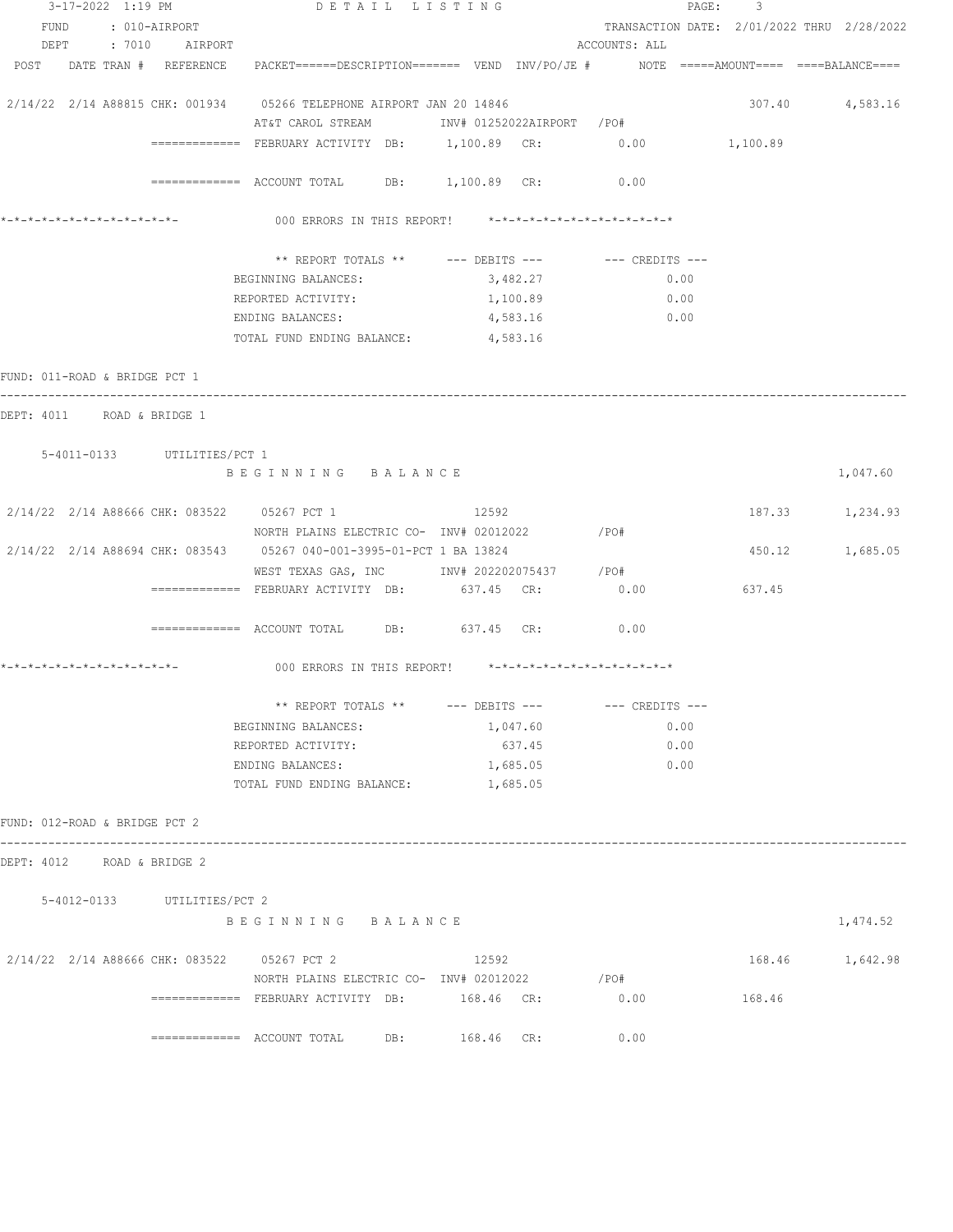| 3-17-2022 1:19 PM                           |                             | DETAIL LISTING                                                                                                                                                                             |            |                                            | PAGE: 3         |                 |
|---------------------------------------------|-----------------------------|--------------------------------------------------------------------------------------------------------------------------------------------------------------------------------------------|------------|--------------------------------------------|-----------------|-----------------|
| FUND : 010-AIRPORT                          |                             |                                                                                                                                                                                            |            | TRANSACTION DATE: 2/01/2022 THRU 2/28/2022 |                 |                 |
| DEPT : 7010 AIRPORT                         |                             |                                                                                                                                                                                            |            | ACCOUNTS: ALL                              |                 |                 |
|                                             |                             | POST DATE TRAN # REFERENCE PACKET======DESCRIPTION======= VEND INV/PO/JE # NOTE =====AMOUNT==== ====BALANCE====                                                                            |            |                                            |                 |                 |
|                                             |                             | 2/14/22 2/14 A88815 CHK: 001934 05266 TELEPHONE AIRPORT JAN 20 14846                                                                                                                       |            |                                            |                 | 307.40 4,583.16 |
|                                             |                             | AT&T CAROL STREAM             INV# 01252022AIRPORT   /PO#                                                                                                                                  |            |                                            |                 |                 |
|                                             |                             | ============= FEBRUARY ACTIVITY DB: 1,100.89 CR: 0.00 1,100.89                                                                                                                             |            |                                            |                 |                 |
|                                             |                             |                                                                                                                                                                                            |            |                                            |                 |                 |
|                                             |                             | ${\small \texttt{-----}}{\small \texttt{-----}}{\small \texttt{-----}}{\small \texttt{ ACCOUNT TOTAL}} \qquad \texttt{DB:} \qquad \texttt{1,100.89} \quad \texttt{CR:} \qquad \qquad 0.00$ |            |                                            |                 |                 |
|                                             |                             | 000 ERRORS IN THIS REPORT! *-*-*-*-*-*-*-*-*-*-*-*-*-*-                                                                                                                                    |            |                                            |                 |                 |
|                                             |                             | ** REPORT TOTALS ** --- DEBITS --- -- -- CREDITS ---                                                                                                                                       |            |                                            |                 |                 |
|                                             |                             | BEGINNING BALANCES:                                                                                                                                                                        | 3,482.27   | 0.00                                       |                 |                 |
|                                             |                             | REPORTED ACTIVITY:                                                                                                                                                                         | 1,100.89   | 0.00                                       |                 |                 |
|                                             |                             | ENDING BALANCES:                                                                                                                                                                           | 4,583.16   | 0.00                                       |                 |                 |
|                                             |                             | TOTAL FUND ENDING BALANCE:                                                                                                                                                                 | 4,583.16   |                                            |                 |                 |
|                                             |                             |                                                                                                                                                                                            |            |                                            |                 |                 |
| FUND: 011-ROAD & BRIDGE PCT 1               |                             |                                                                                                                                                                                            |            |                                            |                 |                 |
| DEPT: 4011 ROAD & BRIDGE 1                  |                             |                                                                                                                                                                                            |            |                                            |                 |                 |
|                                             |                             |                                                                                                                                                                                            |            |                                            |                 |                 |
|                                             | 5-4011-0133 UTILITIES/PCT 1 |                                                                                                                                                                                            |            |                                            |                 |                 |
|                                             |                             | BEGINNING BALANCE                                                                                                                                                                          |            |                                            |                 | 1,047.60        |
|                                             |                             |                                                                                                                                                                                            |            |                                            |                 |                 |
|                                             |                             | 2/14/22 2/14 A88666 CHK: 083522 05267 PCT 1 12592                                                                                                                                          |            |                                            |                 | 187.33 1,234.93 |
|                                             |                             | NORTH PLAINS ELECTRIC CO- INV# 02012022                                                                                                                                                    |            | /PO#                                       |                 |                 |
|                                             |                             | 2/14/22 2/14 A88694 CHK: 083543 05267 040-001-3995-01-PCT 1 BA 13824                                                                                                                       |            |                                            |                 | 450.12 1,685.05 |
|                                             |                             | WEST TEXAS GAS, INC        INV# 202202075437      /PO#                                                                                                                                     |            |                                            |                 |                 |
|                                             |                             | ============= FEBRUARY ACTIVITY DB:                                                                                                                                                        | 637.45 CR: | 0.00                                       | 637.45          |                 |
|                                             |                             | ============ ACCOUNT TOTAL DB: 637.45 CR: 0.00                                                                                                                                             |            |                                            |                 |                 |
|                                             |                             |                                                                                                                                                                                            |            |                                            |                 |                 |
|                                             |                             | 000 ERRORS IN THIS REPORT! *-*-*-*-*-*-*-*-*-*-*-*-*-*-                                                                                                                                    |            |                                            |                 |                 |
|                                             |                             | ** REPORT TOTALS ** $---$ DEBITS ---                                                                                                                                                       |            | $---$ CREDITS $---$                        |                 |                 |
|                                             |                             | BEGINNING BALANCES:                                                                                                                                                                        | 1,047.60   | 0.00                                       |                 |                 |
|                                             |                             | REPORTED ACTIVITY:                                                                                                                                                                         | 637.45     | 0.00                                       |                 |                 |
|                                             |                             | ENDING BALANCES:                                                                                                                                                                           | 1,685.05   | 0.00                                       |                 |                 |
|                                             |                             | TOTAL FUND ENDING BALANCE:                                                                                                                                                                 | 1,685.05   |                                            |                 |                 |
|                                             |                             |                                                                                                                                                                                            |            |                                            |                 |                 |
| FUND: 012-ROAD & BRIDGE PCT 2               |                             |                                                                                                                                                                                            |            |                                            |                 |                 |
| DEPT: 4012 ROAD & BRIDGE 2                  |                             |                                                                                                                                                                                            |            |                                            |                 |                 |
|                                             |                             |                                                                                                                                                                                            |            |                                            |                 |                 |
|                                             | 5-4012-0133 UTILITIES/PCT 2 |                                                                                                                                                                                            |            |                                            |                 |                 |
|                                             |                             | BEGINNING BALANCE                                                                                                                                                                          |            |                                            |                 | 1,474.52        |
| 2/14/22 2/14 A88666 CHK: 083522 05267 PCT 2 |                             |                                                                                                                                                                                            |            |                                            | 168.46 1,642.98 |                 |
|                                             |                             |                                                                                                                                                                                            | 12592      |                                            |                 |                 |
|                                             |                             | NORTH PLAINS ELECTRIC CO- INV# 02012022 / PO#                                                                                                                                              |            |                                            |                 |                 |
|                                             |                             | ============= FEBRUARY ACTIVITY DB: 168.46 CR:                                                                                                                                             |            | 0.00                                       | 168.46          |                 |
|                                             |                             | ============= ACCOUNT TOTAL DB: 168.46 CR:                                                                                                                                                 |            | 0.00                                       |                 |                 |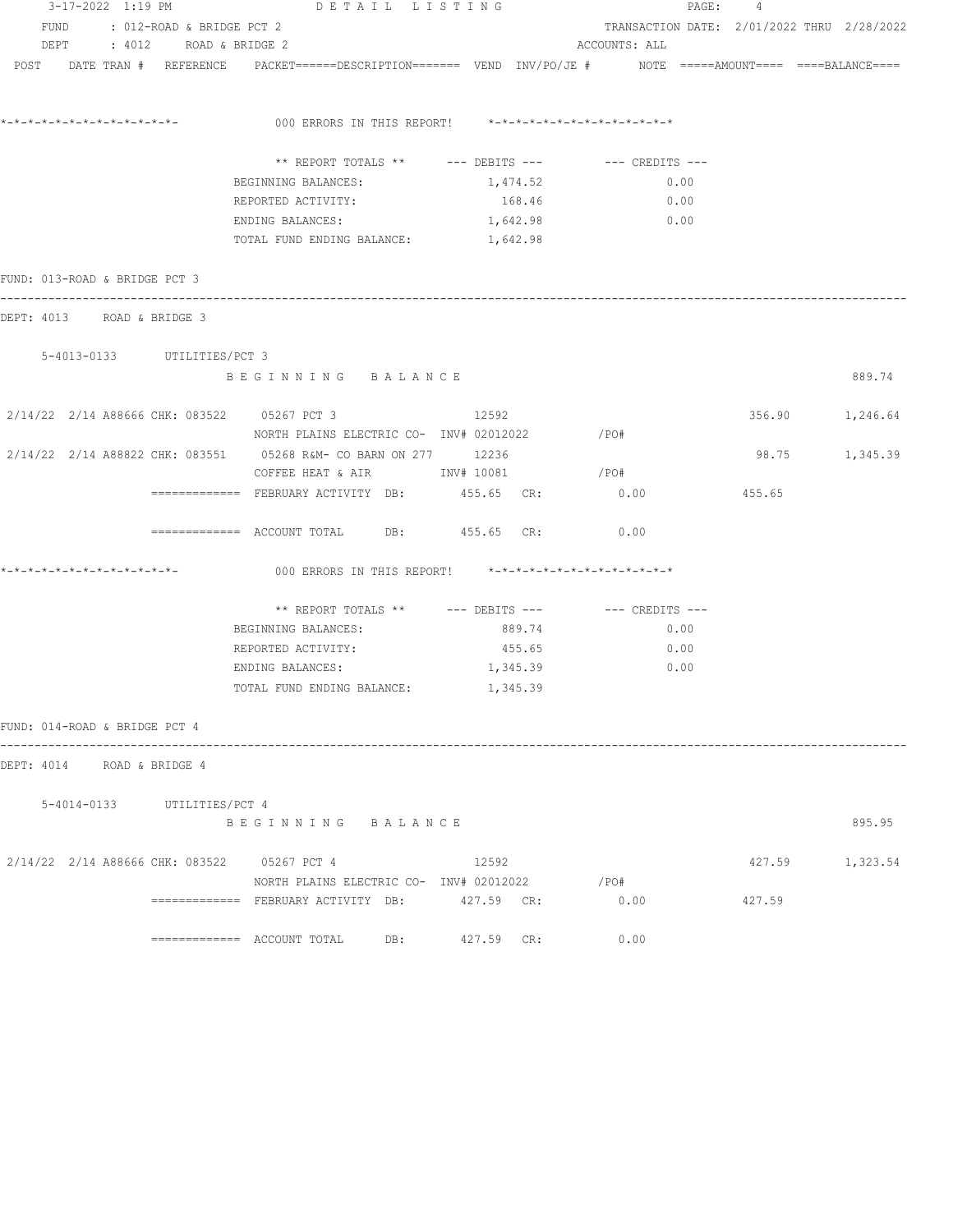| 3-17-2022 1:19 PM                           |                             | DETAIL LISTING                                                                                                  |                    |                                            | PAGE: 4        |                 |
|---------------------------------------------|-----------------------------|-----------------------------------------------------------------------------------------------------------------|--------------------|--------------------------------------------|----------------|-----------------|
| FUND : 012-ROAD & BRIDGE PCT 2              |                             |                                                                                                                 |                    | TRANSACTION DATE: 2/01/2022 THRU 2/28/2022 |                |                 |
| DEPT : 4012 ROAD & BRIDGE 2                 |                             |                                                                                                                 |                    | ACCOUNTS: ALL                              |                |                 |
|                                             |                             | POST DATE TRAN # REFERENCE PACKET======DESCRIPTION======= VEND INV/PO/JE # NOTE =====AMOUNT==== ====BALANCE==== |                    |                                            |                |                 |
|                                             |                             |                                                                                                                 |                    |                                            |                |                 |
|                                             |                             | 000 ERRORS IN THIS REPORT! *-*-*-*-*-*-*-*-*-*-*-*-*-*-                                                         |                    |                                            |                |                 |
|                                             |                             |                                                                                                                 |                    |                                            |                |                 |
|                                             |                             | ** REPORT TOTALS ** --- DEBITS --- -- CREDITS ---                                                               |                    |                                            |                |                 |
|                                             |                             | BEGINNING BALANCES:<br>REPORTED ACTIVITY:                                                                       | 1,474.52<br>168.46 | 0.00<br>0.00                               |                |                 |
|                                             |                             | ENDING BALANCES:                                                                                                | 1,642.98           | 0.00                                       |                |                 |
|                                             |                             | TOTAL FUND ENDING BALANCE: 1, 642.98                                                                            |                    |                                            |                |                 |
|                                             |                             |                                                                                                                 |                    |                                            |                |                 |
| FUND: 013-ROAD & BRIDGE PCT 3               |                             |                                                                                                                 |                    |                                            |                |                 |
| DEPT: 4013 ROAD & BRIDGE 3                  |                             |                                                                                                                 |                    |                                            |                |                 |
| 5-4013-0133 UTILITIES/PCT 3                 |                             |                                                                                                                 |                    |                                            |                |                 |
|                                             |                             | BEGINNING BALANCE                                                                                               |                    |                                            |                | 889.74          |
| 2/14/22 2/14 A88666 CHK: 083522 05267 PCT 3 |                             |                                                                                                                 | 12592              |                                            |                | 356.90 1,246.64 |
|                                             |                             | NORTH PLAINS ELECTRIC CO- INV# 02012022                                                                         |                    | $/$ PO#                                    |                |                 |
|                                             |                             | 2/14/22 2/14 A88822 CHK: 083551 05268 R&M- CO BARN ON 277 12236                                                 |                    |                                            | 98.75 1,345.39 |                 |
|                                             |                             | COFFEE HEAT & AIR MINV# 10081                                                                                   |                    | / PO#                                      |                |                 |
|                                             |                             | ============= FEBRUARY ACTIVITY DB:         455.65  CR:                                                         |                    | 0.00                                       | 455.65         |                 |
|                                             |                             | ============ ACCOUNT TOTAL DB: 455.65 CR:                                                                       |                    | 0.00                                       |                |                 |
|                                             |                             | 000 ERRORS IN THIS REPORT! *-*-*-*-*-*-*-*-*-*-*-*-*-*-                                                         |                    |                                            |                |                 |
|                                             |                             | ** REPORT TOTALS ** --- DEBITS --- -- -- CREDITS ---                                                            |                    |                                            |                |                 |
|                                             |                             | BEGINNING BALANCES:                                                                                             | 889.74             | 0.00                                       |                |                 |
|                                             |                             | REPORTED ACTIVITY:                                                                                              | 455.65             | 0.00                                       |                |                 |
|                                             |                             | ENDING BALANCES:                                                                                                | 1,345.39           | 0.00                                       |                |                 |
|                                             |                             | TOTAL FUND ENDING BALANCE:                                                                                      | 1,345.39           |                                            |                |                 |
| FUND: 014-ROAD & BRIDGE PCT 4               |                             |                                                                                                                 |                    |                                            |                |                 |
| DEPT: 4014 ROAD & BRIDGE 4                  |                             |                                                                                                                 |                    |                                            |                |                 |
|                                             |                             |                                                                                                                 |                    |                                            |                |                 |
|                                             | 5-4014-0133 UTILITIES/PCT 4 |                                                                                                                 |                    |                                            |                |                 |
|                                             |                             | BEGINNING BALANCE                                                                                               |                    |                                            |                | 895.95          |
| 2/14/22 2/14 A88666 CHK: 083522 05267 PCT 4 |                             |                                                                                                                 | 12592              |                                            |                | 427.59 1,323.54 |
|                                             |                             | NORTH PLAINS ELECTRIC CO- INV# 02012022                                                                         |                    | /PO#                                       |                |                 |
|                                             |                             | ============= FEBRUARY ACTIVITY DB: 427.59 CR:                                                                  |                    | 0.00                                       | 427.59         |                 |
|                                             |                             | ============= ACCOUNT TOTAL DB:                                                                                 | 427.59 CR:         | 0.00                                       |                |                 |
|                                             |                             |                                                                                                                 |                    |                                            |                |                 |